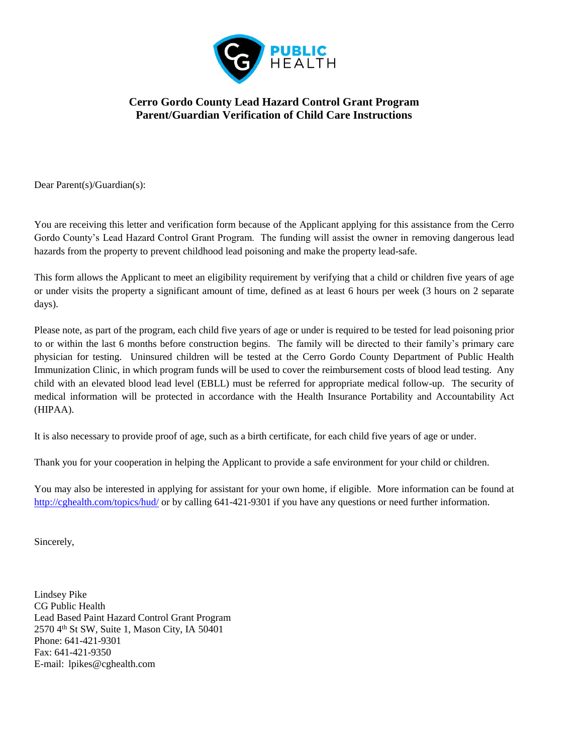

## **Cerro Gordo County Lead Hazard Control Grant Program Parent/Guardian Verification of Child Care Instructions**

Dear Parent(s)/Guardian(s):

You are receiving this letter and verification form because of the Applicant applying for this assistance from the Cerro Gordo County's Lead Hazard Control Grant Program. The funding will assist the owner in removing dangerous lead hazards from the property to prevent childhood lead poisoning and make the property lead-safe.

This form allows the Applicant to meet an eligibility requirement by verifying that a child or children five years of age or under visits the property a significant amount of time, defined as at least 6 hours per week (3 hours on 2 separate days).

Please note, as part of the program, each child five years of age or under is required to be tested for lead poisoning prior to or within the last 6 months before construction begins. The family will be directed to their family's primary care physician for testing. Uninsured children will be tested at the Cerro Gordo County Department of Public Health Immunization Clinic, in which program funds will be used to cover the reimbursement costs of blood lead testing. Any child with an elevated blood lead level (EBLL) must be referred for appropriate medical follow-up. The security of medical information will be protected in accordance with the Health Insurance Portability and Accountability Act (HIPAA).

It is also necessary to provide proof of age, such as a birth certificate, for each child five years of age or under.

Thank you for your cooperation in helping the Applicant to provide a safe environment for your child or children.

You may also be interested in applying for assistant for your own home, if eligible. More information can be found at <http://cghealth.com/topics/hud/> or by calling 641-421-9301 if you have any questions or need further information.

Sincerely,

Lindsey Pike CG Public Health Lead Based Paint Hazard Control Grant Program 2570 4th St SW, Suite 1, Mason City, IA 50401 Phone: 641-421-9301 Fax: 641-421-9350 E-mail: lpikes@cghealth.com